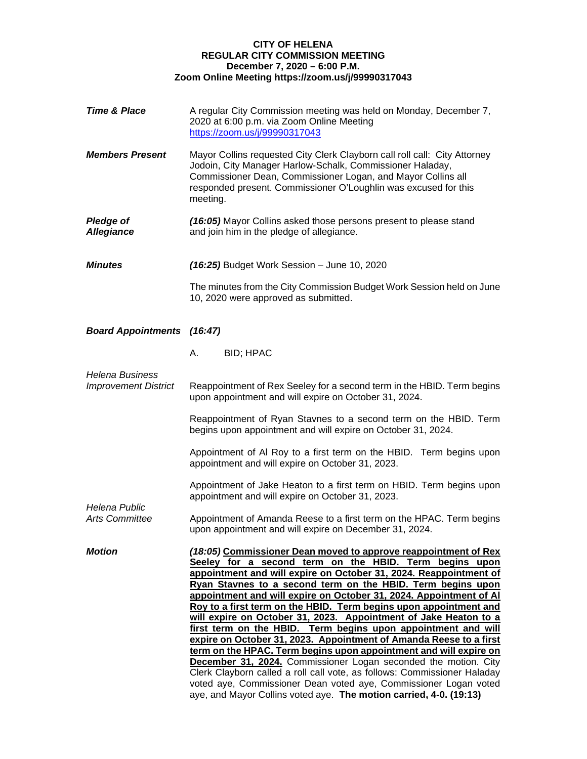# **CITY OF HELENA REGULAR CITY COMMISSION MEETING December 7, 2020 – 6:00 P.M. Zoom Online Meeting https://zoom.us/j/99990317043**

| <b>Time &amp; Place</b>                               | A regular City Commission meeting was held on Monday, December 7,<br>2020 at 6:00 p.m. via Zoom Online Meeting<br>https://zoom.us/j/99990317043                                                                                                                                                                                                                                                                                                                                                                                                                                                                                                                                                                                                                                                                                                                                                                    |
|-------------------------------------------------------|--------------------------------------------------------------------------------------------------------------------------------------------------------------------------------------------------------------------------------------------------------------------------------------------------------------------------------------------------------------------------------------------------------------------------------------------------------------------------------------------------------------------------------------------------------------------------------------------------------------------------------------------------------------------------------------------------------------------------------------------------------------------------------------------------------------------------------------------------------------------------------------------------------------------|
| <b>Members Present</b>                                | Mayor Collins requested City Clerk Clayborn call roll call: City Attorney<br>Jodoin, City Manager Harlow-Schalk, Commissioner Haladay,<br>Commissioner Dean, Commissioner Logan, and Mayor Collins all<br>responded present. Commissioner O'Loughlin was excused for this<br>meeting.                                                                                                                                                                                                                                                                                                                                                                                                                                                                                                                                                                                                                              |
| <b>Pledge of</b><br><b>Allegiance</b>                 | (16:05) Mayor Collins asked those persons present to please stand<br>and join him in the pledge of allegiance.                                                                                                                                                                                                                                                                                                                                                                                                                                                                                                                                                                                                                                                                                                                                                                                                     |
| <b>Minutes</b>                                        | $(16:25)$ Budget Work Session - June 10, 2020                                                                                                                                                                                                                                                                                                                                                                                                                                                                                                                                                                                                                                                                                                                                                                                                                                                                      |
|                                                       | The minutes from the City Commission Budget Work Session held on June<br>10, 2020 were approved as submitted.                                                                                                                                                                                                                                                                                                                                                                                                                                                                                                                                                                                                                                                                                                                                                                                                      |
| <b>Board Appointments (16:47)</b>                     |                                                                                                                                                                                                                                                                                                                                                                                                                                                                                                                                                                                                                                                                                                                                                                                                                                                                                                                    |
|                                                       | А.<br><b>BID; HPAC</b>                                                                                                                                                                                                                                                                                                                                                                                                                                                                                                                                                                                                                                                                                                                                                                                                                                                                                             |
| <b>Helena Business</b><br><b>Improvement District</b> | Reappointment of Rex Seeley for a second term in the HBID. Term begins<br>upon appointment and will expire on October 31, 2024.                                                                                                                                                                                                                                                                                                                                                                                                                                                                                                                                                                                                                                                                                                                                                                                    |
| <b>Helena Public</b><br><b>Arts Committee</b>         | Reappointment of Ryan Stavnes to a second term on the HBID. Term<br>begins upon appointment and will expire on October 31, 2024.                                                                                                                                                                                                                                                                                                                                                                                                                                                                                                                                                                                                                                                                                                                                                                                   |
|                                                       | Appointment of AI Roy to a first term on the HBID. Term begins upon<br>appointment and will expire on October 31, 2023.                                                                                                                                                                                                                                                                                                                                                                                                                                                                                                                                                                                                                                                                                                                                                                                            |
|                                                       | Appointment of Jake Heaton to a first term on HBID. Term begins upon<br>appointment and will expire on October 31, 2023.                                                                                                                                                                                                                                                                                                                                                                                                                                                                                                                                                                                                                                                                                                                                                                                           |
|                                                       | Appointment of Amanda Reese to a first term on the HPAC. Term begins<br>upon appointment and will expire on December 31, 2024.                                                                                                                                                                                                                                                                                                                                                                                                                                                                                                                                                                                                                                                                                                                                                                                     |
| <b>Motion</b>                                         | (18:05) Commissioner Dean moved to approve reappointment of Rex<br>Seeley for a second term on the HBID. Term begins upon<br>appointment and will expire on October 31, 2024. Reappointment of<br>Ryan Stavnes to a second term on the HBID. Term begins upon<br>appointment and will expire on October 31, 2024. Appointment of Al<br>Roy to a first term on the HBID. Term begins upon appointment and<br>will expire on October 31, 2023. Appointment of Jake Heaton to a<br>first term on the HBID. Term begins upon appointment and will<br>expire on October 31, 2023. Appointment of Amanda Reese to a first<br>term on the HPAC. Term begins upon appointment and will expire on<br><b>December 31, 2024.</b> Commissioner Logan seconded the motion. City<br>Clerk Clayborn called a roll call vote, as follows: Commissioner Haladay<br>voted aye, Commissioner Dean voted aye, Commissioner Logan voted |

aye, and Mayor Collins voted aye. **The motion carried, 4-0. (19:13)**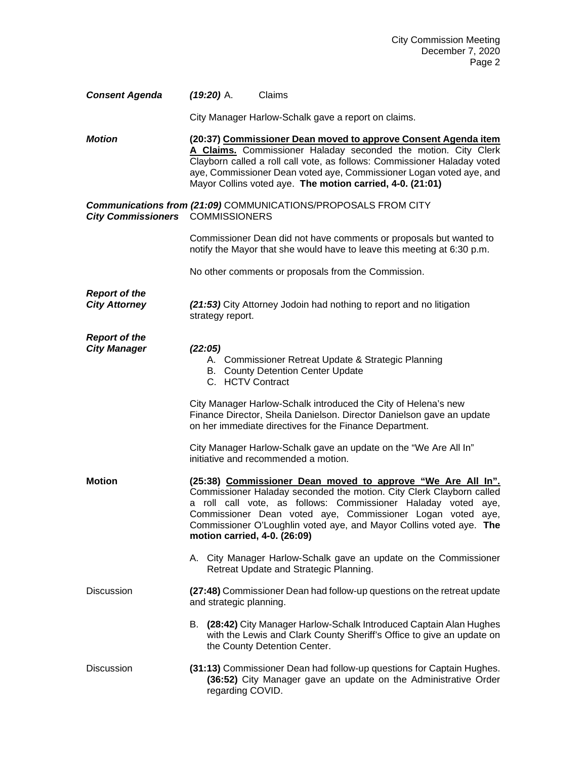| <b>Consent Agenda</b> | $(19:20)$ A. | Claims |
|-----------------------|--------------|--------|
|-----------------------|--------------|--------|

City Manager Harlow-Schalk gave a report on claims.

*Motion* **(20:37) Commissioner Dean moved to approve Consent Agenda item A Claims.** Commissioner Haladay seconded the motion. City Clerk Clayborn called a roll call vote, as follows: Commissioner Haladay voted aye, Commissioner Dean voted aye, Commissioner Logan voted aye, and Mayor Collins voted aye. **The motion carried, 4-0. (21:01)**

# *Communications from (21:09)* COMMUNICATIONS/PROPOSALS FROM CITY *City Commissioners* COMMISSIONERS

Commissioner Dean did not have comments or proposals but wanted to notify the Mayor that she would have to leave this meeting at 6:30 p.m.

No other comments or proposals from the Commission.

*Report of the* 

**City Attorney** *(21:53)* **City Attorney Jodoin had nothing to report and no litigation** strategy report.

*Report of the City Manager (22:05)*

- A. Commissioner Retreat Update & Strategic Planning
- B. County Detention Center Update
- C. HCTV Contract

City Manager Harlow-Schalk introduced the City of Helena's new Finance Director, Sheila Danielson. Director Danielson gave an update on her immediate directives for the Finance Department.

City Manager Harlow-Schalk gave an update on the "We Are All In" initiative and recommended a motion.

- **Motion (25:38) Commissioner Dean moved to approve "We Are All In".** Commissioner Haladay seconded the motion. City Clerk Clayborn called a roll call vote, as follows: Commissioner Haladay voted aye, Commissioner Dean voted aye, Commissioner Logan voted aye, Commissioner O'Loughlin voted aye, and Mayor Collins voted aye. **The motion carried, 4-0. (26:09)**
	- A. City Manager Harlow-Schalk gave an update on the Commissioner Retreat Update and Strategic Planning.
- Discussion **(27:48)** Commissioner Dean had follow-up questions on the retreat update and strategic planning.
	- B. **(28:42)** City Manager Harlow-Schalk Introduced Captain Alan Hughes with the Lewis and Clark County Sheriff's Office to give an update on the County Detention Center.
- Discussion **(31:13)** Commissioner Dean had follow-up questions for Captain Hughes. **(36:52)** City Manager gave an update on the Administrative Order regarding COVID.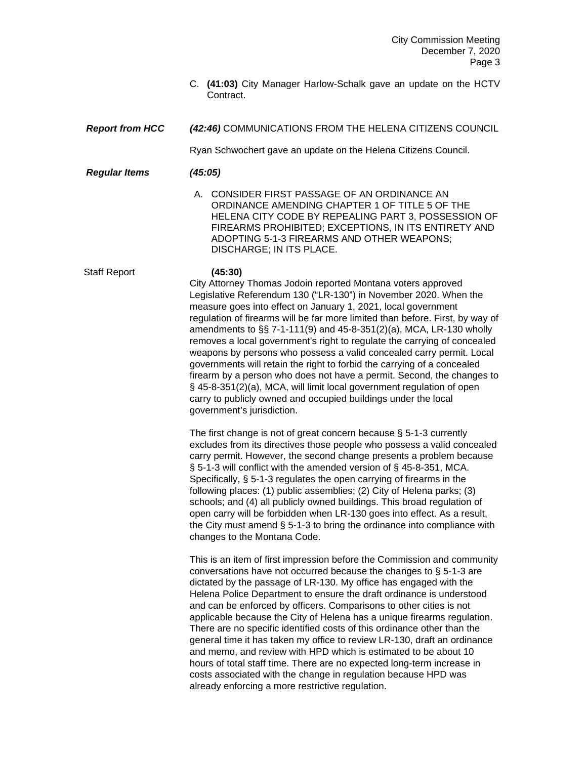C. **(41:03)** City Manager Harlow-Schalk gave an update on the HCTV Contract.

# *Report from HCC (42:46)* COMMUNICATIONS FROM THE HELENA CITIZENS COUNCIL

Ryan Schwochert gave an update on the Helena Citizens Council.

### *Regular Items (45:05)*

A. CONSIDER FIRST PASSAGE OF AN ORDINANCE AN ORDINANCE AMENDING CHAPTER 1 OF TITLE 5 OF THE HELENA CITY CODE BY REPEALING PART 3, POSSESSION OF FIREARMS PROHIBITED; EXCEPTIONS, IN ITS ENTIRETY AND ADOPTING 5-1-3 FIREARMS AND OTHER WEAPONS; DISCHARGE; IN ITS PLACE.

# Staff Report **(45:30)**

City Attorney Thomas Jodoin reported Montana voters approved Legislative Referendum 130 ("LR-130") in November 2020. When the measure goes into effect on January 1, 2021, local government regulation of firearms will be far more limited than before. First, by way of amendments to §§ 7-1-111(9) and 45-8-351(2)(a), MCA, LR-130 wholly removes a local government's right to regulate the carrying of concealed weapons by persons who possess a valid concealed carry permit. Local governments will retain the right to forbid the carrying of a concealed firearm by a person who does not have a permit. Second, the changes to § 45-8-351(2)(a), MCA, will limit local government regulation of open carry to publicly owned and occupied buildings under the local government's jurisdiction.

The first change is not of great concern because § 5-1-3 currently excludes from its directives those people who possess a valid concealed carry permit. However, the second change presents a problem because § 5-1-3 will conflict with the amended version of § 45-8-351, MCA. Specifically, § 5-1-3 regulates the open carrying of firearms in the following places: (1) public assemblies; (2) City of Helena parks; (3) schools; and (4) all publicly owned buildings. This broad regulation of open carry will be forbidden when LR-130 goes into effect. As a result, the City must amend § 5-1-3 to bring the ordinance into compliance with changes to the Montana Code.

This is an item of first impression before the Commission and community conversations have not occurred because the changes to § 5-1-3 are dictated by the passage of LR-130. My office has engaged with the Helena Police Department to ensure the draft ordinance is understood and can be enforced by officers. Comparisons to other cities is not applicable because the City of Helena has a unique firearms regulation. There are no specific identified costs of this ordinance other than the general time it has taken my office to review LR-130, draft an ordinance and memo, and review with HPD which is estimated to be about 10 hours of total staff time. There are no expected long-term increase in costs associated with the change in regulation because HPD was already enforcing a more restrictive regulation.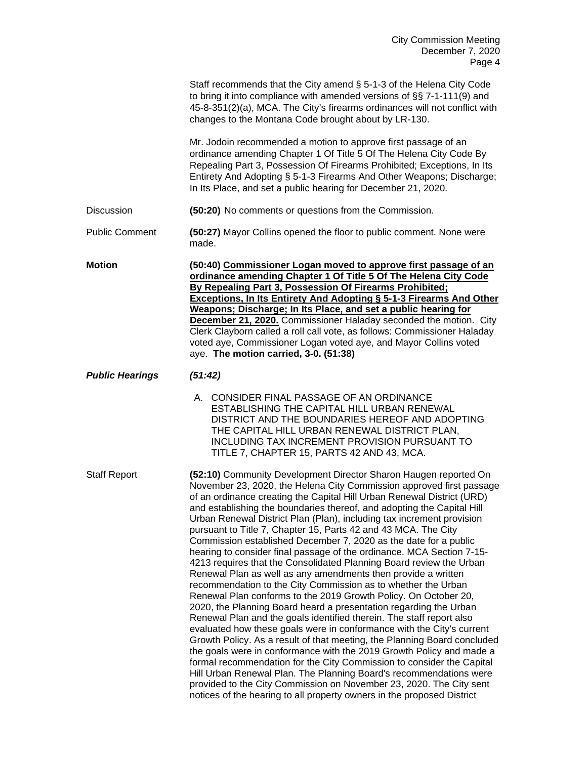|                        | Staff recommends that the City amend § 5-1-3 of the Helena City Code<br>to bring it into compliance with amended versions of §§ 7-1-111(9) and<br>45-8-351(2)(a), MCA. The City's firearms ordinances will not conflict with<br>changes to the Montana Code brought about by LR-130.                                                                                                                                                                                                                                                                                                                                                                                                                                                                                                                                                                                                                                                                                                                                                                                                                                                                                                                                                                                                                                                                                                                                                                                                                                                       |
|------------------------|--------------------------------------------------------------------------------------------------------------------------------------------------------------------------------------------------------------------------------------------------------------------------------------------------------------------------------------------------------------------------------------------------------------------------------------------------------------------------------------------------------------------------------------------------------------------------------------------------------------------------------------------------------------------------------------------------------------------------------------------------------------------------------------------------------------------------------------------------------------------------------------------------------------------------------------------------------------------------------------------------------------------------------------------------------------------------------------------------------------------------------------------------------------------------------------------------------------------------------------------------------------------------------------------------------------------------------------------------------------------------------------------------------------------------------------------------------------------------------------------------------------------------------------------|
|                        | Mr. Jodoin recommended a motion to approve first passage of an<br>ordinance amending Chapter 1 Of Title 5 Of The Helena City Code By<br>Repealing Part 3, Possession Of Firearms Prohibited; Exceptions, In Its<br>Entirety And Adopting § 5-1-3 Firearms And Other Weapons; Discharge;<br>In Its Place, and set a public hearing for December 21, 2020.                                                                                                                                                                                                                                                                                                                                                                                                                                                                                                                                                                                                                                                                                                                                                                                                                                                                                                                                                                                                                                                                                                                                                                                   |
| Discussion             | (50:20) No comments or questions from the Commission.                                                                                                                                                                                                                                                                                                                                                                                                                                                                                                                                                                                                                                                                                                                                                                                                                                                                                                                                                                                                                                                                                                                                                                                                                                                                                                                                                                                                                                                                                      |
| <b>Public Comment</b>  | (50:27) Mayor Collins opened the floor to public comment. None were<br>made.                                                                                                                                                                                                                                                                                                                                                                                                                                                                                                                                                                                                                                                                                                                                                                                                                                                                                                                                                                                                                                                                                                                                                                                                                                                                                                                                                                                                                                                               |
| <b>Motion</b>          | (50:40) Commissioner Logan moved to approve first passage of an<br>ordinance amending Chapter 1 Of Title 5 Of The Helena City Code<br>By Repealing Part 3, Possession Of Firearms Prohibited;<br><b>Exceptions, In Its Entirety And Adopting § 5-1-3 Firearms And Other</b><br>Weapons; Discharge; In Its Place, and set a public hearing for<br><b>December 21, 2020.</b> Commissioner Haladay seconded the motion. City<br>Clerk Clayborn called a roll call vote, as follows: Commissioner Haladay<br>voted aye, Commissioner Logan voted aye, and Mayor Collins voted<br>aye. The motion carried, 3-0. (51:38)                                                                                                                                                                                                                                                                                                                                                                                                                                                                                                                                                                                                                                                                                                                                                                                                                                                                                                                         |
| <b>Public Hearings</b> | (51:42)                                                                                                                                                                                                                                                                                                                                                                                                                                                                                                                                                                                                                                                                                                                                                                                                                                                                                                                                                                                                                                                                                                                                                                                                                                                                                                                                                                                                                                                                                                                                    |
|                        | A. CONSIDER FINAL PASSAGE OF AN ORDINANCE<br>ESTABLISHING THE CAPITAL HILL URBAN RENEWAL<br>DISTRICT AND THE BOUNDARIES HEREOF AND ADOPTING<br>THE CAPITAL HILL URBAN RENEWAL DISTRICT PLAN,<br>INCLUDING TAX INCREMENT PROVISION PURSUANT TO<br>TITLE 7, CHAPTER 15, PARTS 42 AND 43, MCA.                                                                                                                                                                                                                                                                                                                                                                                                                                                                                                                                                                                                                                                                                                                                                                                                                                                                                                                                                                                                                                                                                                                                                                                                                                                |
| <b>Staff Report</b>    | (52:10) Community Development Director Sharon Haugen reported On<br>November 23, 2020, the Helena City Commission approved first passage<br>of an ordinance creating the Capital Hill Urban Renewal District (URD)<br>and establishing the boundaries thereof, and adopting the Capital Hill<br>Urban Renewal District Plan (Plan), including tax increment provision<br>pursuant to Title 7, Chapter 15, Parts 42 and 43 MCA. The City<br>Commission established December 7, 2020 as the date for a public<br>hearing to consider final passage of the ordinance. MCA Section 7-15-<br>4213 requires that the Consolidated Planning Board review the Urban<br>Renewal Plan as well as any amendments then provide a written<br>recommendation to the City Commission as to whether the Urban<br>Renewal Plan conforms to the 2019 Growth Policy. On October 20,<br>2020, the Planning Board heard a presentation regarding the Urban<br>Renewal Plan and the goals identified therein. The staff report also<br>evaluated how these goals were in conformance with the City's current<br>Growth Policy. As a result of that meeting, the Planning Board concluded<br>the goals were in conformance with the 2019 Growth Policy and made a<br>formal recommendation for the City Commission to consider the Capital<br>Hill Urban Renewal Plan. The Planning Board's recommendations were<br>provided to the City Commission on November 23, 2020. The City sent<br>notices of the hearing to all property owners in the proposed District |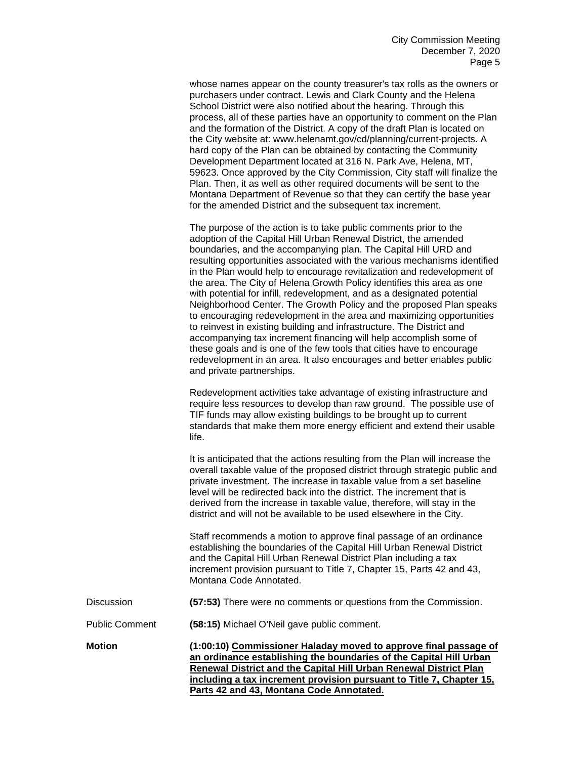whose names appear on the county treasurer's tax rolls as the owners or purchasers under contract. Lewis and Clark County and the Helena School District were also notified about the hearing. Through this process, all of these parties have an opportunity to comment on the Plan and the formation of the District. A copy of the draft Plan is located on the City website at: www.helenamt.gov/cd/planning/current-projects. A hard copy of the Plan can be obtained by contacting the Community Development Department located at 316 N. Park Ave, Helena, MT, 59623. Once approved by the City Commission, City staff will finalize the Plan. Then, it as well as other required documents will be sent to the Montana Department of Revenue so that they can certify the base year for the amended District and the subsequent tax increment.

The purpose of the action is to take public comments prior to the adoption of the Capital Hill Urban Renewal District, the amended boundaries, and the accompanying plan. The Capital Hill URD and resulting opportunities associated with the various mechanisms identified in the Plan would help to encourage revitalization and redevelopment of the area. The City of Helena Growth Policy identifies this area as one with potential for infill, redevelopment, and as a designated potential Neighborhood Center. The Growth Policy and the proposed Plan speaks to encouraging redevelopment in the area and maximizing opportunities to reinvest in existing building and infrastructure. The District and accompanying tax increment financing will help accomplish some of these goals and is one of the few tools that cities have to encourage redevelopment in an area. It also encourages and better enables public and private partnerships.

Redevelopment activities take advantage of existing infrastructure and require less resources to develop than raw ground. The possible use of TIF funds may allow existing buildings to be brought up to current standards that make them more energy efficient and extend their usable life.

It is anticipated that the actions resulting from the Plan will increase the overall taxable value of the proposed district through strategic public and private investment. The increase in taxable value from a set baseline level will be redirected back into the district. The increment that is derived from the increase in taxable value, therefore, will stay in the district and will not be available to be used elsewhere in the City.

Staff recommends a motion to approve final passage of an ordinance establishing the boundaries of the Capital Hill Urban Renewal District and the Capital Hill Urban Renewal District Plan including a tax increment provision pursuant to Title 7, Chapter 15, Parts 42 and 43, Montana Code Annotated.

| Discussion |  | (57:53) There were no comments or questions from the Commission. |  |
|------------|--|------------------------------------------------------------------|--|
|------------|--|------------------------------------------------------------------|--|

Public Comment **(58:15)** Michael O'Neil gave public comment.

**Motion (1:00:10) Commissioner Haladay moved to approve final passage of an ordinance establishing the boundaries of the Capital Hill Urban Renewal District and the Capital Hill Urban Renewal District Plan including a tax increment provision pursuant to Title 7, Chapter 15, Parts 42 and 43, Montana Code Annotated.**